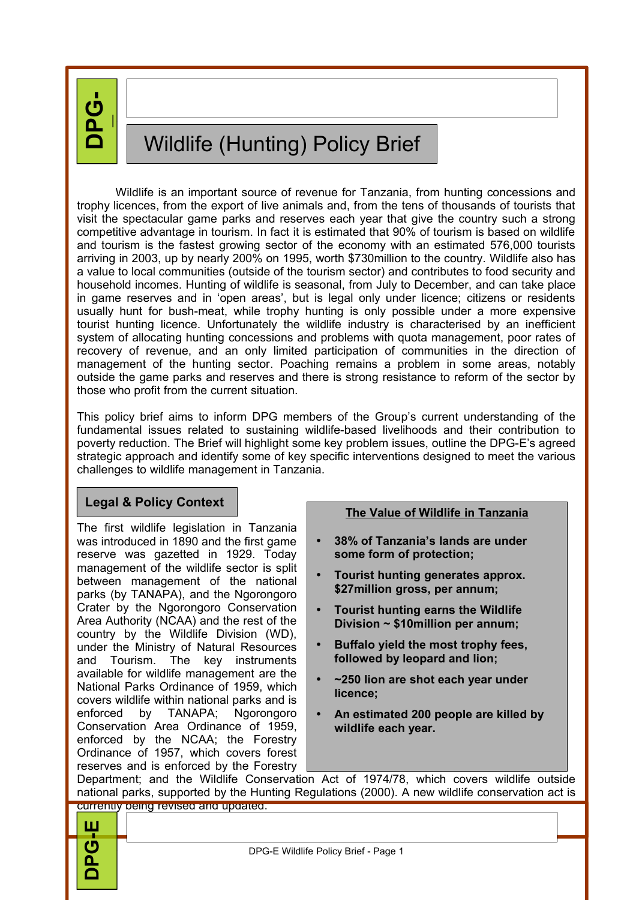**DP G-**

**E**

# Wildlife (Hunting) Policy Brief

Wildlife is an important source of revenue for Tanzania, from hunting concessions and trophy licences, from the export of live animals and, from the tens of thousands of tourists that visit the spectacular game parks and reserves each year that give the country such a strong competitive advantage in tourism. In fact it is estimated that 90% of tourism is based on wildlife and tourism is the fastest growing sector of the economy with an estimated 576,000 tourists arriving in 2003, up by nearly 200% on 1995, worth \$730million to the country. Wildlife also has a value to local communities (outside of the tourism sector) and contributes to food security and household incomes. Hunting of wildlife is seasonal, from July to December, and can take place in game reserves and in 'open areas', but is legal only under licence; citizens or residents usually hunt for bush-meat, while trophy hunting is only possible under a more expensive tourist hunting licence. Unfortunately the wildlife industry is characterised by an inefficient system of allocating hunting concessions and problems with quota management, poor rates of recovery of revenue, and an only limited participation of communities in the direction of management of the hunting sector. Poaching remains a problem in some areas, notably outside the game parks and reserves and there is strong resistance to reform of the sector by those who profit from the current situation.

This policy brief aims to inform DPG members of the Group's current understanding of the fundamental issues related to sustaining wildlife-based livelihoods and their contribution to poverty reduction. The Brief will highlight some key problem issues, outline the DPG-E's agreed strategic approach and identify some of key specific interventions designed to meet the various challenges to wildlife management in Tanzania.

## **Legal & Policy Context**

The first wildlife legislation in Tanzania was introduced in 1890 and the first game reserve was gazetted in 1929. Today management of the wildlife sector is split between management of the national parks (by TANAPA), and the Ngorongoro Crater by the Ngorongoro Conservation Area Authority (NCAA) and the rest of the country by the Wildlife Division (WD), under the Ministry of Natural Resources and Tourism. The key instruments available for wildlife management are the National Parks Ordinance of 1959, which covers wildlife within national parks and is enforced by TANAPA; Ngorongoro Conservation Area Ordinance of 1959, enforced by the NCAA; the Forestry Ordinance of 1957, which covers forest reserves and is enforced by the Forestry

### **The Value of Wildlife in Tanzania**

- **38% of Tanzania's lands are under some form of protection;**
- **Tourist hunting generates approx. \$27million gross, per annum;**
- **Tourist hunting earns the Wildlife Division ~ \$10million per annum;**
- **Buffalo yield the most trophy fees, followed by leopard and lion;**
- **~250 lion are shot each year under licence;**
- **An estimated 200 people are killed by wildlife each year.**

Department; and the Wildlife Conservation Act of 1974/78, which covers wildlife outside national parks, supported by the Hunting Regulations (2000). A new wildlife conservation act is

|                                      | national parks, supported by the Hunting Regulations (2000). A new wildlife conservation act is |  |  |
|--------------------------------------|-------------------------------------------------------------------------------------------------|--|--|
| currently being revised and updated. |                                                                                                 |  |  |
| ய                                    |                                                                                                 |  |  |
| $\overline{\mathbf{G}}$              | DPG-E Wildlife Policy Brief - Page 1                                                            |  |  |
|                                      |                                                                                                 |  |  |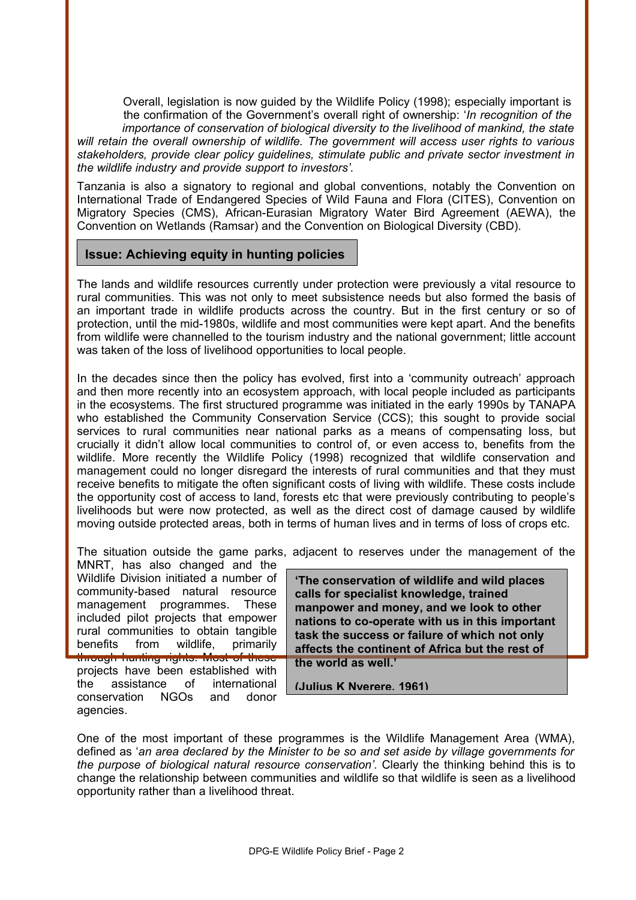Overall, legislation is now guided by the Wildlife Policy (1998); especially important is the confirmation of the Government's overall right of ownership: '*In recognition of the importance of conservation of biological diversity to the livelihood of mankind, the state will retain the overall ownership of wildlife. The government will access user rights to various stakeholders, provide clear policy guidelines, stimulate public and private sector investment in the wildlife industry and provide support to investors'.* 

Tanzania is also a signatory to regional and global conventions, notably the Convention on International Trade of Endangered Species of Wild Fauna and Flora (CITES), Convention on Migratory Species (CMS), African-Eurasian Migratory Water Bird Agreement (AEWA), the Convention on Wetlands (Ramsar) and the Convention on Biological Diversity (CBD).

#### **Issue: Achieving equity in hunting policies**

The lands and wildlife resources currently under protection were previously a vital resource to rural communities. This was not only to meet subsistence needs but also formed the basis of an important trade in wildlife products across the country. But in the first century or so of protection, until the mid-1980s, wildlife and most communities were kept apart. And the benefits from wildlife were channelled to the tourism industry and the national government; little account was taken of the loss of livelihood opportunities to local people.

In the decades since then the policy has evolved, first into a 'community outreach' approach and then more recently into an ecosystem approach, with local people included as participants in the ecosystems. The first structured programme was initiated in the early 1990s by TANAPA who established the Community Conservation Service (CCS); this sought to provide social services to rural communities near national parks as a means of compensating loss, but crucially it didn't allow local communities to control of, or even access to, benefits from the wildlife. More recently the Wildlife Policy (1998) recognized that wildlife conservation and management could no longer disregard the interests of rural communities and that they must receive benefits to mitigate the often significant costs of living with wildlife. These costs include the opportunity cost of access to land, forests etc that were previously contributing to people's livelihoods but were now protected, as well as the direct cost of damage caused by wildlife moving outside protected areas, both in terms of human lives and in terms of loss of crops etc.

The situation outside the game parks, adjacent to reserves under the management of the

MNRT, has also changed and the Wildlife Division initiated a number of community-based natural resource management programmes. These included pilot projects that empower rural communities to obtain tangible benefits from wildlife, primarily through hunting rights. Most of these projects have been established with the assistance of international conservation NGOs and donor agencies.

**'The conservation of wildlife and wild places calls for specialist knowledge, trained manpower and money, and we look to other nations to co-operate with us in this important task the success or failure of which not only affects the continent of Africa but the rest of the world as well.'**

**(Julius K Nyerere, 1961)**

One of the most important of these programmes is the Wildlife Management Area (WMA), defined as '*an area declared by the Minister to be so and set aside by village governments for the purpose of biological natural resource conservation'*. Clearly the thinking behind this is to change the relationship between communities and wildlife so that wildlife is seen as a livelihood opportunity rather than a livelihood threat.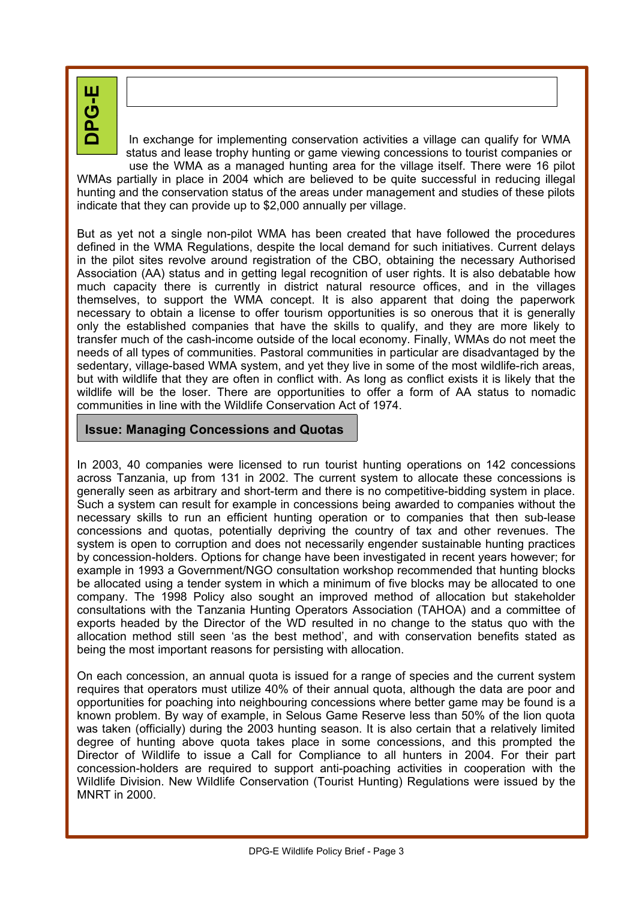**H**<br>ウ

In exchange for implementing conservation activities a village can qualify for WMA status and lease trophy hunting or game viewing concessions to tourist companies or

use the WMA as a managed hunting area for the village itself. There were 16 pilot WMAs partially in place in 2004 which are believed to be quite successful in reducing illegal hunting and the conservation status of the areas under management and studies of these pilots indicate that they can provide up to \$2,000 annually per village.

But as yet not a single non-pilot WMA has been created that have followed the procedures defined in the WMA Regulations, despite the local demand for such initiatives. Current delays in the pilot sites revolve around registration of the CBO, obtaining the necessary Authorised Association (AA) status and in getting legal recognition of user rights. It is also debatable how much capacity there is currently in district natural resource offices, and in the villages themselves, to support the WMA concept. It is also apparent that doing the paperwork necessary to obtain a license to offer tourism opportunities is so onerous that it is generally only the established companies that have the skills to qualify, and they are more likely to transfer much of the cash-income outside of the local economy. Finally, WMAs do not meet the needs of all types of communities. Pastoral communities in particular are disadvantaged by the sedentary, village-based WMA system, and yet they live in some of the most wildlife-rich areas, but with wildlife that they are often in conflict with. As long as conflict exists it is likely that the wildlife will be the loser. There are opportunities to offer a form of AA status to nomadic communities in line with the Wildlife Conservation Act of 1974.

### **Issue: Managing Concessions and Quotas**

In 2003, 40 companies were licensed to run tourist hunting operations on 142 concessions across Tanzania, up from 131 in 2002. The current system to allocate these concessions is generally seen as arbitrary and short-term and there is no competitive-bidding system in place. Such a system can result for example in concessions being awarded to companies without the necessary skills to run an efficient hunting operation or to companies that then sub-lease concessions and quotas, potentially depriving the country of tax and other revenues. The system is open to corruption and does not necessarily engender sustainable hunting practices by concession-holders. Options for change have been investigated in recent years however; for example in 1993 a Government/NGO consultation workshop recommended that hunting blocks be allocated using a tender system in which a minimum of five blocks may be allocated to one company. The 1998 Policy also sought an improved method of allocation but stakeholder consultations with the Tanzania Hunting Operators Association (TAHOA) and a committee of exports headed by the Director of the WD resulted in no change to the status quo with the allocation method still seen 'as the best method', and with conservation benefits stated as being the most important reasons for persisting with allocation.

On each concession, an annual quota is issued for a range of species and the current system requires that operators must utilize 40% of their annual quota, although the data are poor and opportunities for poaching into neighbouring concessions where better game may be found is a known problem. By way of example, in Selous Game Reserve less than 50% of the lion quota was taken (officially) during the 2003 hunting season. It is also certain that a relatively limited degree of hunting above quota takes place in some concessions, and this prompted the Director of Wildlife to issue a Call for Compliance to all hunters in 2004. For their part concession-holders are required to support anti-poaching activities in cooperation with the Wildlife Division. New Wildlife Conservation (Tourist Hunting) Regulations were issued by the MNRT in 2000.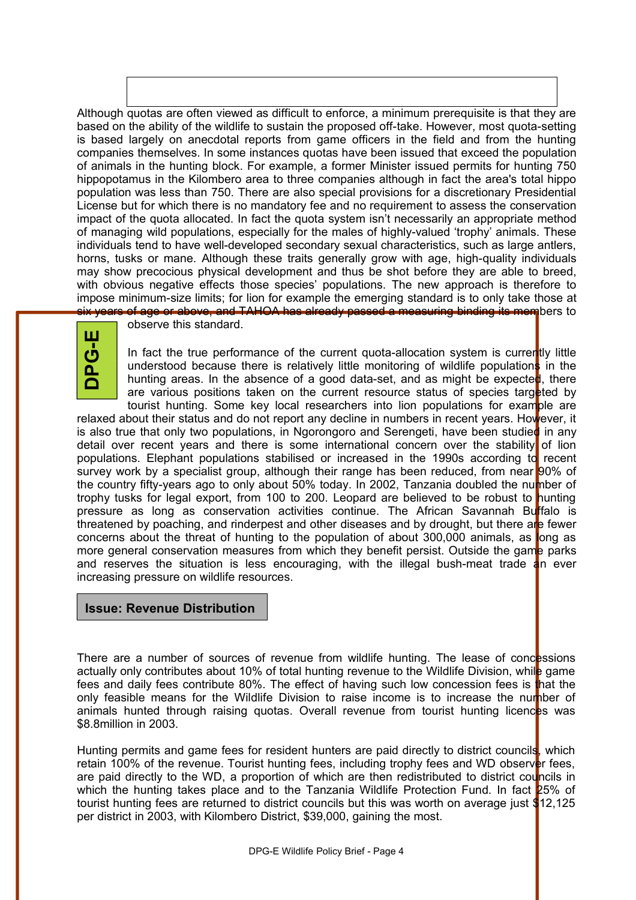Although quotas are often viewed as difficult to enforce, a minimum prerequisite is that they are based on the ability of the wildlife to sustain the proposed off-take. However, most quota-setting is based largely on anecdotal reports from game officers in the field and from the hunting companies themselves. In some instances quotas have been issued that exceed the population of animals in the hunting block. For example, a former Minister issued permits for hunting 750 hippopotamus in the Kilombero area to three companies although in fact the area's total hippo population was less than 750. There are also special provisions for a discretionary Presidential License but for which there is no mandatory fee and no requirement to assess the conservation impact of the quota allocated. In fact the quota system isn't necessarily an appropriate method of managing wild populations, especially for the males of highly-valued 'trophy' animals. These individuals tend to have well-developed secondary sexual characteristics, such as large antlers, horns, tusks or mane. Although these traits generally grow with age, high-quality individuals may show precocious physical development and thus be shot before they are able to breed, with obvious negative effects those species' populations. The new approach is therefore to impose minimum-size limits; for lion for example the emerging standard is to only take those at six years of age or above, and TAHOA has already passed a measuring binding its members to



observe this standard.

In fact the true performance of the current quota-allocation system is currently little understood because there is relatively little monitoring of wildlife populations in the hunting areas. In the absence of a good data-set, and as might be expected, there are various positions taken on the current resource status of species targeted by tourist hunting. Some key local researchers into lion populations for example are

relaxed about their status and do not report any decline in numbers in recent years. However, it is also true that only two populations, in Ngorongoro and Serengeti, have been studied in any detail over recent years and there is some international concern over the stability of lion populations. Elephant populations stabilised or increased in the 1990s according to recent survey work by a specialist group, although their range has been reduced, from near 90% of the country fifty-years ago to only about 50% today. In 2002, Tanzania doubled the number of trophy tusks for legal export, from 100 to 200. Leopard are believed to be robust to hunting pressure as long as conservation activities continue. The African Savannah Buffalo is threatened by poaching, and rinderpest and other diseases and by drought, but there are fewer concerns about the threat of hunting to the population of about 300,000 animals, as long as more general conservation measures from which they benefit persist. Outside the game parks and reserves the situation is less encouraging, with the illegal bush-meat trade  $\frac{1}{4}$ n ever increasing pressure on wildlife resources.

### **Issue: Revenue Distribution**

There are a number of sources of revenue from wildlife hunting. The lease of concessions actually only contributes about 10% of total hunting revenue to the Wildlife Division, while game fees and daily fees contribute 80%. The effect of having such low concession fees is that the only feasible means for the Wildlife Division to raise income is to increase the number of animals hunted through raising quotas. Overall revenue from tourist hunting licences was \$8.8million in 2003.

Hunting permits and game fees for resident hunters are paid directly to district councils, which retain 100% of the revenue. Tourist hunting fees, including trophy fees and WD observer fees, are paid directly to the WD, a proportion of which are then redistributed to district councils in which the hunting takes place and to the Tanzania Wildlife Protection Fund. In fact 25% of tourist hunting fees are returned to district councils but this was worth on average just \$12,125 per district in 2003, with Kilombero District, \$39,000, gaining the most.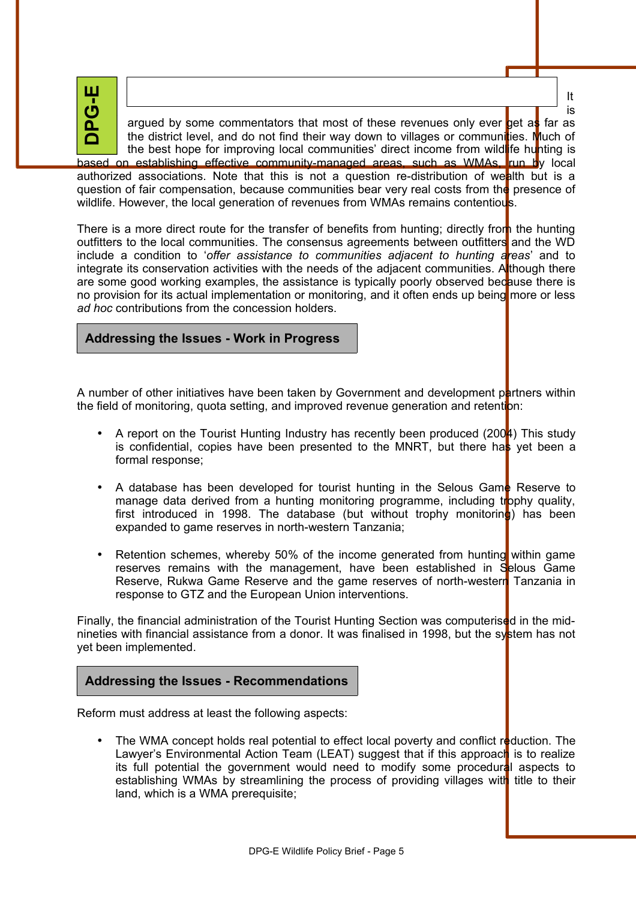**DPG-E**

argued by some commentators that most of these revenues only ever  $\log a$  far as the district level, and do not find their way down to villages or communities. Much of the best hope for improving local communities' direct income from wildlife hunting is based on establishing effective community-managed areas, such as WMAs, run by local

authorized associations. Note that this is not a question re-distribution of wealth but is a question of fair compensation, because communities bear very real costs from the presence of wildlife. However, the local generation of revenues from WMAs remains contentious.

There is a more direct route for the transfer of benefits from hunting; directly from the hunting outfitters to the local communities. The consensus agreements between outfitters and the WD include a condition to '*offer assistance to communities adjacent to hunting areas*' and to integrate its conservation activities with the needs of the adjacent communities. Although there are some good working examples, the assistance is typically poorly observed because there is no provision for its actual implementation or monitoring, and it often ends up being more or less *ad hoc* contributions from the concession holders.

### **Addressing the Issues - Work in Progress**

A number of other initiatives have been taken by Government and development partners within the field of monitoring, quota setting, and improved revenue generation and retention:

- A report on the Tourist Hunting Industry has recently been produced (2004) This study is confidential, copies have been presented to the MNRT, but there has yet been a formal response;
- A database has been developed for tourist hunting in the Selous Game Reserve to manage data derived from a hunting monitoring programme, including trophy quality, first introduced in 1998. The database (but without trophy monitoring) has been expanded to game reserves in north-western Tanzania;
- Retention schemes, whereby 50% of the income generated from hunting within game reserves remains with the management, have been established in Selous Game Reserve, Rukwa Game Reserve and the game reserves of north-western Tanzania in response to GTZ and the European Union interventions.

Finally, the financial administration of the Tourist Hunting Section was computerised in the midnineties with financial assistance from a donor. It was finalised in 1998, but the system has not yet been implemented.

### **Addressing the Issues - Recommendations**

Reform must address at least the following aspects:

The WMA concept holds real potential to effect local poverty and conflict reduction. The Lawyer's Environmental Action Team (LEAT) suggest that if this approach is to realize its full potential the government would need to modify some procedural aspects to establishing WMAs by streamlining the process of providing villages with title to their land, which is a WMA prerequisite;